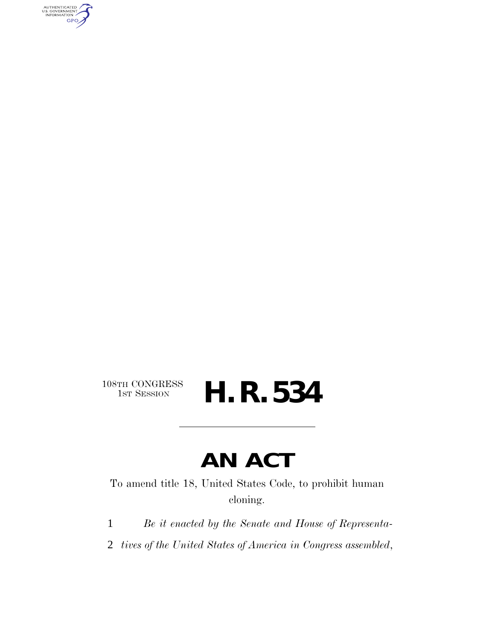AUTHENTICATED<br>U.S. GOVERNMENT<br>INFORMATION GPO

108TH CONGRESS<br>1st Session

# H. R. 534

## **AN ACT**

To amend title 18, United States Code, to prohibit human cloning.

- 1 *Be it enacted by the Senate and House of Representa-*
- 2 *tives of the United States of America in Congress assembled*,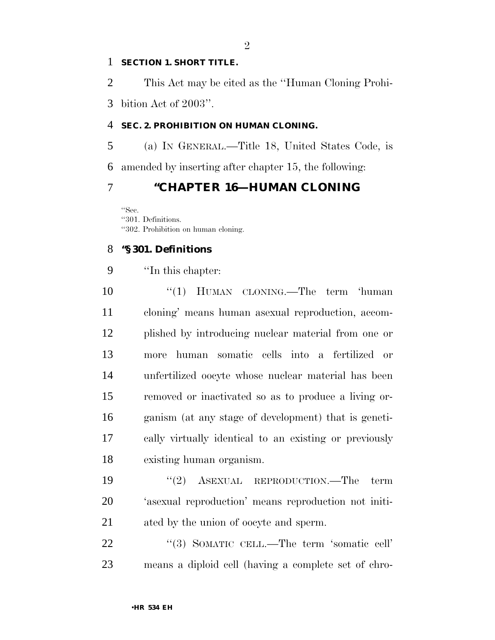#### **SECTION 1. SHORT TITLE.**

This Act may be cited as the ''Human Cloning Prohi-

bition Act of 2003''.

#### **SEC. 2. PROHIBITION ON HUMAN CLONING.**

 (a) IN GENERAL.—Title 18, United States Code, is amended by inserting after chapter 15, the following:

#### **''CHAPTER 16—HUMAN CLONING**

''Sec. ''301. Definitions. ''302. Prohibition on human cloning.

#### **''§ 301. Definitions**

''In this chapter:

10 ''(1) HUMAN CLONING.—The term 'human cloning' means human asexual reproduction, accom- plished by introducing nuclear material from one or more human somatic cells into a fertilized or unfertilized oocyte whose nuclear material has been removed or inactivated so as to produce a living or- ganism (at any stage of development) that is geneti- cally virtually identical to an existing or previously existing human organism.

19 ''(2) ASEXUAL REPRODUCTION.—The term 'asexual reproduction' means reproduction not initi-ated by the union of oocyte and sperm.

22 "(3) SOMATIC CELL.—The term 'somatic cell' means a diploid cell (having a complete set of chro-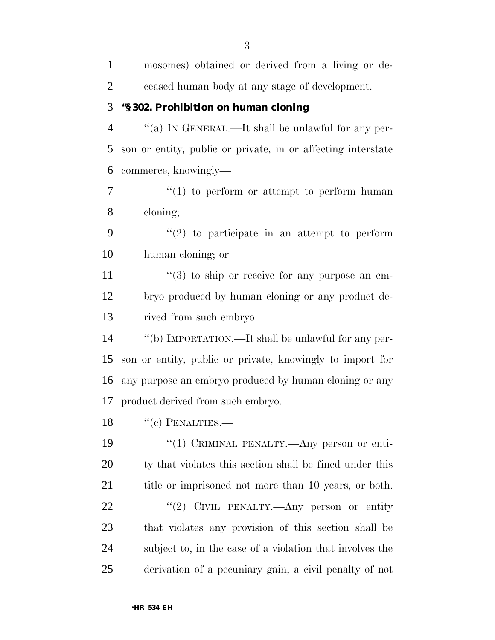mosomes) obtained or derived from a living or de- ceased human body at any stage of development. **''§ 302. Prohibition on human cloning** ''(a) IN GENERAL.—It shall be unlawful for any per- son or entity, public or private, in or affecting interstate commerce, knowingly—  $\frac{u(1)}{2}$  to perform or attempt to perform human cloning;  $\frac{1}{2}$  to participate in an attempt to perform human cloning; or  $\frac{11}{2}$  ''(3) to ship or receive for any purpose an em- bryo produced by human cloning or any product de- rived from such embryo. ''(b) IMPORTATION.—It shall be unlawful for any per- son or entity, public or private, knowingly to import for any purpose an embryo produced by human cloning or any product derived from such embryo. 18 "(c) PENALTIES.—  $\frac{1}{2}$  (1) CRIMINAL PENALTY.—Any person or enti- ty that violates this section shall be fined under this 21 title or imprisoned not more than 10 years, or both. 22 "'(2) CIVIL PENALTY.—Any person or entity that violates any provision of this section shall be subject to, in the case of a violation that involves the derivation of a pecuniary gain, a civil penalty of not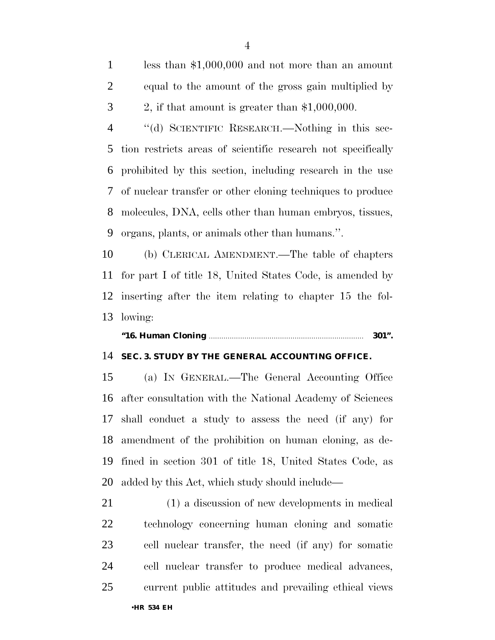less than \$1,000,000 and not more than an amount equal to the amount of the gross gain multiplied by 2, if that amount is greater than \$1,000,000.

 ''(d) SCIENTIFIC RESEARCH.—Nothing in this sec- tion restricts areas of scientific research not specifically prohibited by this section, including research in the use of nuclear transfer or other cloning techniques to produce molecules, DNA, cells other than human embryos, tissues, organs, plants, or animals other than humans.''.

 (b) CLERICAL AMENDMENT.—The table of chapters for part I of title 18, United States Code, is amended by inserting after the item relating to chapter 15 the fol-lowing:

#### **''16. Human Cloning** .......................................................................... **301''.**

#### **SEC. 3. STUDY BY THE GENERAL ACCOUNTING OFFICE.**

 (a) IN GENERAL.—The General Accounting Office after consultation with the National Academy of Sciences shall conduct a study to assess the need (if any) for amendment of the prohibition on human cloning, as de- fined in section 301 of title 18, United States Code, as added by this Act, which study should include—

 (1) a discussion of new developments in medical technology concerning human cloning and somatic cell nuclear transfer, the need (if any) for somatic cell nuclear transfer to produce medical advances, current public attitudes and prevailing ethical views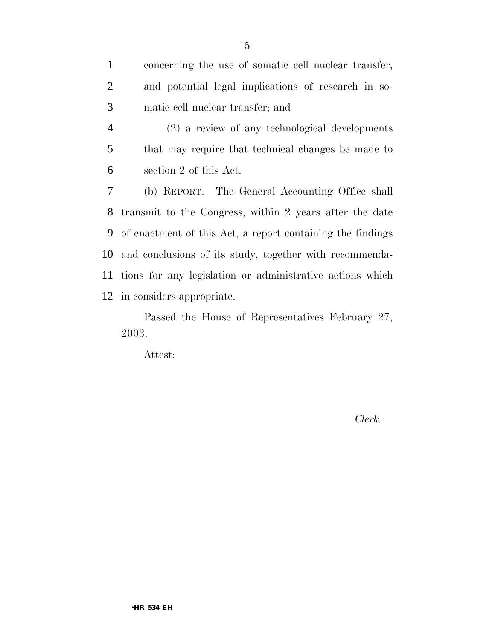| $\mathbf{1}$   | concerning the use of somatic cell nuclear transfer,         |
|----------------|--------------------------------------------------------------|
| 2              | and potential legal implications of research in so-          |
| 3              | matic cell nuclear transfer; and                             |
| $\overline{4}$ | (2) a review of any technological developments               |
| 5              | that may require that technical changes be made to           |
| 6              | section 2 of this Act.                                       |
| 7              | (b) REPORT.—The General Accounting Office shall              |
| 8              | transmit to the Congress, within 2 years after the date      |
|                | 9 of enactment of this Act, a report containing the findings |
|                | 10 and conclusions of its study, together with recommenda-   |
|                | 11 tions for any legislation or administrative actions which |
|                | 12 in considers appropriate.                                 |

Passed the House of Representatives February 27, 2003.

Attest:

*Clerk.*